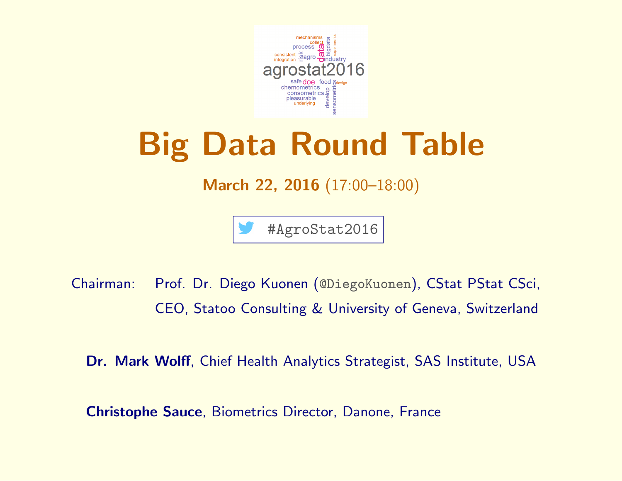

## Big Data Round Table

## March 22, 2016 (17:00–18:00)

#AgroStat2016

Chairman: Prof. Dr. Diego Kuonen (@DiegoKuonen), CStat PStat CSci, CEO, Statoo Consulting & University of Geneva, Switzerland

Dr. Mark Wolff, Chief Health Analytics Strategist, SAS Institute, USA

Christophe Sauce, Biometrics Director, Danone, France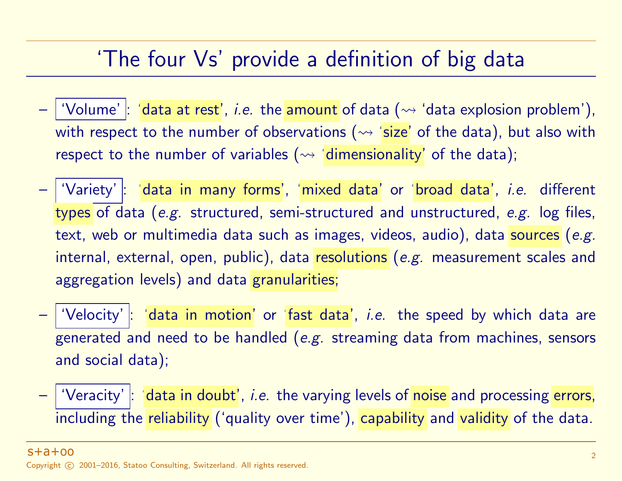## 'The four Vs' provide a definition of big data

- 'Volume'  $|$ : 'data at rest', *i.e.* the amount of data  $(\rightsquigarrow$  'data explosion problem'), with respect to the number of observations ( $\rightsquigarrow$  'size' of the data), but also with respect to the number of variables  $(\leadsto \text{ 'dimensionality' })$  of the data);
- 'Variety' : 'data in many forms', 'mixed data' or 'broad data', *i.e.* different types of data (e.g. structured, semi-structured and unstructured, e.g. log files, text, web or multimedia data such as images, videos, audio), data sources (e.g. internal, external, open, public), data resolutions (e.g. measurement scales and aggregation levels) and data granularities;
- $\mid$  'Velocity'  $\mid$ : 'data in motion' or 'fast data', *i.e.* the speed by which data are generated and need to be handled (e.g. streaming data from machines, sensors and social data);
- | 'Veracity' |: 'data in doubt', *i.e.* the varying levels of noise and processing errors, including the reliability ('quality over time'), capability and validity of the data.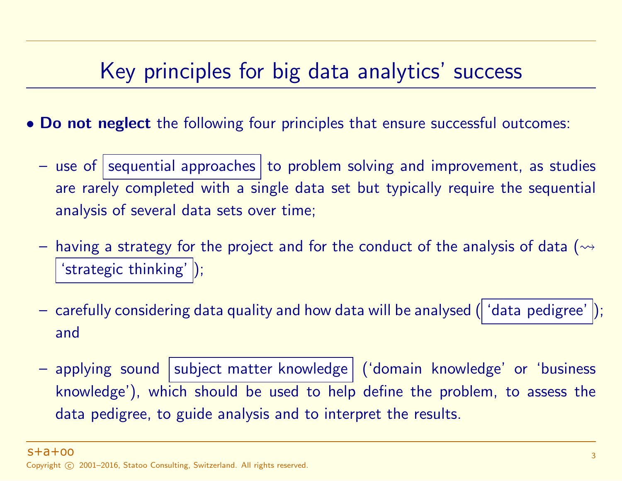## Key principles for big data analytics' success

- Do not neglect the following four principles that ensure successful outcomes:
	- use of sequential approaches to problem solving and improvement, as studies are rarely completed with a single data set but typically require the sequential analysis of several data sets over time;
	- having a strategy for the project and for the conduct of the analysis of data ( $\rightarrow$ 'strategic thinking' |);
	- carefully considering data quality and how data will be analysed ( 'data pedigree'); and
	- applying sound subject matter knowledge ('domain knowledge' or 'business knowledge'), which should be used to help define the problem, to assess the data pedigree, to guide analysis and to interpret the results.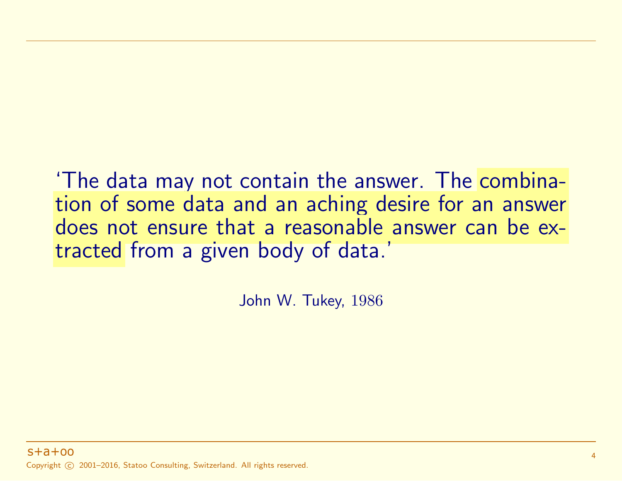'The data may not contain the answer. The combination of some data and an aching desire for an answer does not ensure that a reasonable answer can be extracted from a given body of data.'

John W. Tukey, 1986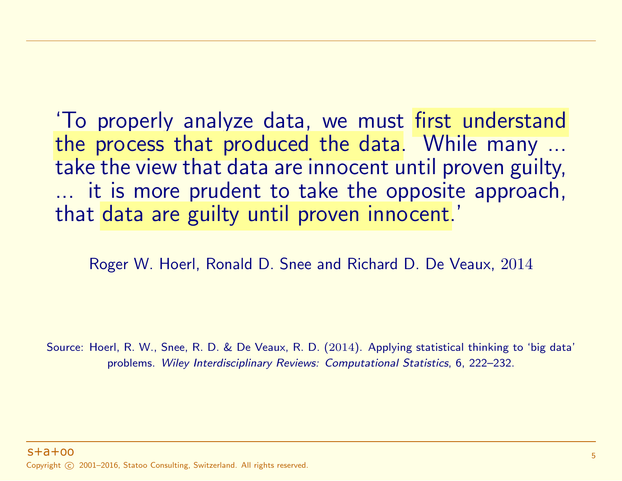'To properly analyze data, we must first understand the process that produced the data. While many ... take the view that data are innocent until proven guilty, ... it is more prudent to take the opposite approach, that data are guilty until proven innocent.'

Roger W. Hoerl, Ronald D. Snee and Richard D. De Veaux, 2014

Source: Hoerl, R. W., Snee, R. D. & De Veaux, R. D. (2014). Applying statistical thinking to 'big data' problems. Wiley Interdisciplinary Reviews: Computational Statistics, 6, 222–232.